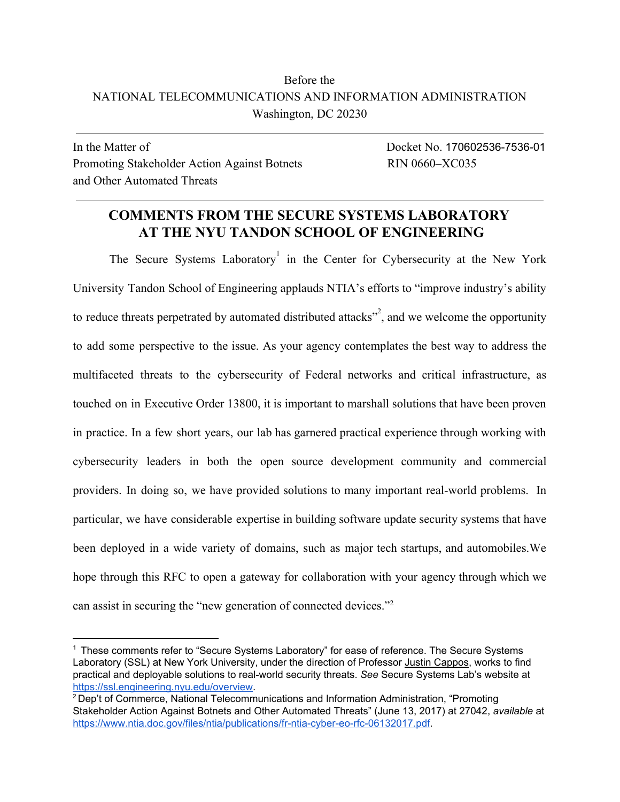### Before the NATIONAL TELECOMMUNICATIONS AND INFORMATION ADMINISTRATION Washington, DC 20230

In the Matter of Docket No. 170602536-7536-01 Promoting Stakeholder Action Against Botnets RIN 0660–XC035 and Other Automated Threats

### **COMMENTS FROM THE SECURE SYSTEMS LABORATORY AT THE NYU TANDON SCHOOL OF ENGINEERING**

The Secure Systems Laboratory<sup>1</sup> in the Center for Cybersecurity at the New York University Tandon School of Engineering applauds NTIA's efforts to "improve industry's ability to reduce threats perpetrated by automated distributed attacks"<sup>2</sup>, and we welcome the opportunity to add some perspective to the issue. As your agency contemplates the best way to address the multifaceted threats to the cybersecurity of Federal networks and critical infrastructure, as touched on in Executive Order 13800, it is important to marshall solutions that have been proven in practice. In a few short years, our lab has garnered practical experience through working with cybersecurity leaders in both the open source development community and commercial providers. In doing so, we have provided solutions to many important real-world problems. In particular, we have considerable expertise in building software update security systems that have been deployed in a wide variety of domains, such as major tech startups, and automobiles.We hope through this RFC to open a gateway for collaboration with your agency through which we can assist in securing the "new generation of connected devices."<sup>2</sup>

<sup>1</sup> These comments refer to "Secure Systems Laboratory" for ease of reference. The Secure Systems Laboratory (SSL) at New York University, under the direction of Professor Justin [Cappos,](https://ssl.engineering.nyu.edu/personalpages/jcappos/) works to find practical and deployable solutions to real-world security threats. *See* Secure Systems Lab's website at [https://ssl.engineering.nyu.edu/overview.](https://ssl.engineering.nyu.edu/overview)

<sup>2</sup> Dep't of Commerce, National Telecommunications and Information Administration, "Promoting Stakeholder Action Against Botnets and Other Automated Threats" (June 13, 2017) at 27042, *available* at [https://www.ntia.doc.gov/files/ntia/publications/fr-ntia-cyber-eo-rfc-06132017.pdf.](https://www.ntia.doc.gov/files/ntia/publications/fr-ntia-cyber-eo-rfc-06132017.pdf)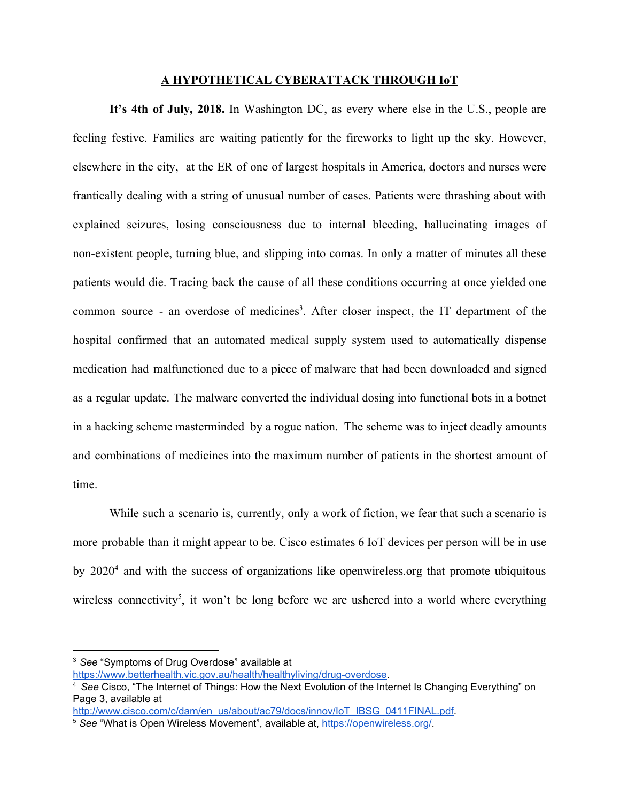#### **A HYPOTHETICAL CYBERATTACK THROUGH IoT**

**It's 4th of July, 2018.** In Washington DC, as every where else in the U.S., people are feeling festive. Families are waiting patiently for the fireworks to light up the sky. However, elsewhere in the city, at the ER of one of largest hospitals in America, doctors and nurses were frantically dealing with a string of unusual number of cases. Patients were thrashing about with explained seizures, losing consciousness due to internal bleeding, hallucinating images of non-existent people, turning blue, and slipping into comas. In only a matter of minutes all these patients would die. Tracing back the cause of all these conditions occurring at once yielded one common source - an overdose of medicines<sup>3</sup>. After closer inspect, the IT department of the hospital confirmed that an automated medical supply system used to automatically dispense medication had malfunctioned due to a piece of malware that had been downloaded and signed as a regular update. The malware converted the individual dosing into functional bots in a botnet in a hacking scheme masterminded by a rogue nation. The scheme was to inject deadly amounts and combinations of medicines into the maximum number of patients in the shortest amount of time.

While such a scenario is, currently, only a work of fiction, we fear that such a scenario is more probable than it might appear to be. Cisco estimates 6 IoT devices per person will be in use by 2020<sup>4</sup> and with the success of organizations like openwireless.org that promote ubiquitous wireless connectivity<sup>5</sup>, it won't be long before we are ushered into a world where everything

<sup>3</sup>*See* "Symptoms of Drug Overdose" available at

<https://www.betterhealth.vic.gov.au/health/healthyliving/drug-overdose>.

<sup>4</sup> *See* Cisco, "The Internet of Things: How the Next Evolution of the Internet Is Changing Everything" on Page 3, available at

[http://www.cisco.com/c/dam/en\\_us/about/ac79/docs/innov/IoT\\_IBSG\\_0411FINAL.pdf](http://www.cisco.com/c/dam/en_us/about/ac79/docs/innov/IoT_IBSG_0411FINAL.pdf).

<sup>5</sup> *See* "What is Open Wireless Movement", available at, [https://openwireless.org/.](https://openwireless.org/)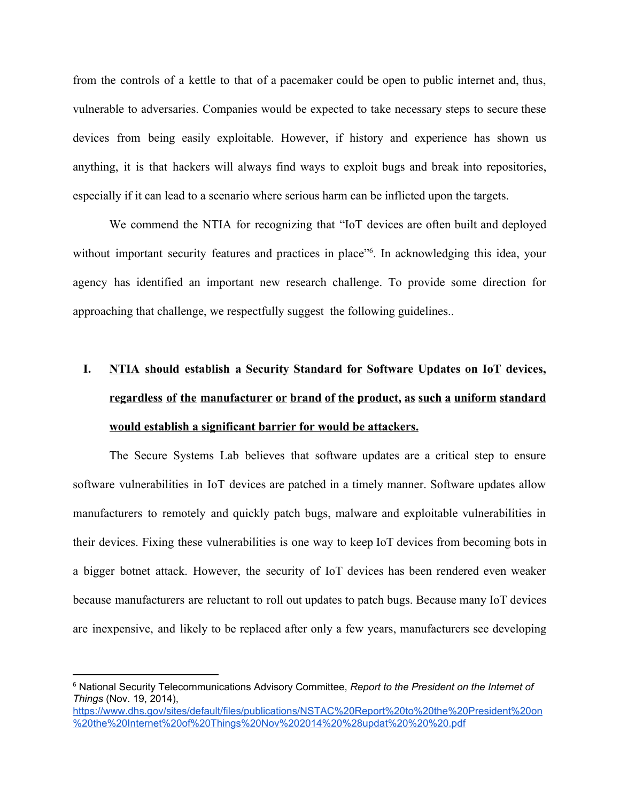from the controls of a kettle to that of a pacemaker could be open to public internet and, thus, vulnerable to adversaries. Companies would be expected to take necessary steps to secure these devices from being easily exploitable. However, if history and experience has shown us anything, it is that hackers will always find ways to exploit bugs and break into repositories, especially if it can lead to a scenario where serious harm can be inflicted upon the targets.

We commend the NTIA for recognizing that "IoT devices are often built and deployed without important security features and practices in place<sup>"6</sup>. In acknowledging this idea, your agency has identified an important new research challenge. To provide some direction for approaching that challenge, we respectfully suggest the following guidelines..

# **I. NTIA should establish a Security Standard for Software Updates on IoT devices, regardless of the manufacturer or brand of the product, as such a uniform standard would establish a significant barrier for would be attackers.**

The Secure Systems Lab believes that software updates are a critical step to ensure software vulnerabilities in IoT devices are patched in a timely manner. Software updates allow manufacturers to remotely and quickly patch bugs, malware and exploitable vulnerabilities in their devices. Fixing these vulnerabilities is one way to keep IoT devices from becoming bots in a bigger botnet attack. However, the security of IoT devices has been rendered even weaker because manufacturers are reluctant to roll out updates to patch bugs. Because many IoT devices are inexpensive, and likely to be replaced after only a few years, manufacturers see developing

<sup>6</sup> National Security Telecommunications Advisory Committee, *Report to the President on the Internet of Things* (Nov. 19, 2014),

[https://www.dhs.gov/sites/default/files/publications/NSTAC%20Report%20to%20the%20President%20on](https://www.dhs.gov/sites/default/files/publications/NSTAC%20Report%20to%20the%20President%20on%20the%20Internet%20of%20Things%20Nov%202014%20%28updat%20%20%20.pdf) [%20the%20Internet%20of%20Things%20Nov%202014%20%28updat%20%20%20.pdf](https://www.dhs.gov/sites/default/files/publications/NSTAC%20Report%20to%20the%20President%20on%20the%20Internet%20of%20Things%20Nov%202014%20%28updat%20%20%20.pdf)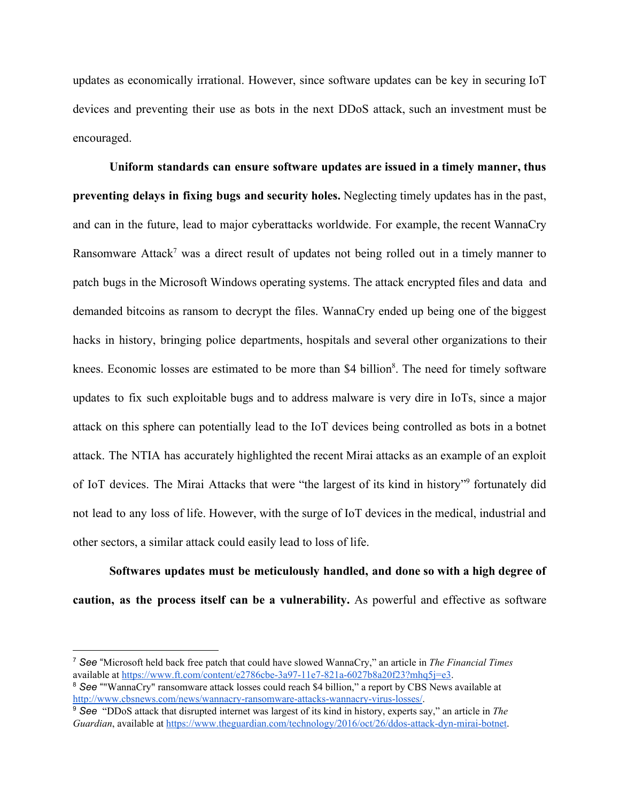updates as economically irrational. However, since software updates can be key in securing IoT devices and preventing their use as bots in the next DDoS attack, such an investment must be encouraged.

**Uniform standards can ensure software updates are issued in a timely manner, thus preventing delays in fixing bugs and security holes.** Neglecting timely updates has in the past, and can in the future, lead to major cyberattacks worldwide. For example, the recent WannaCry Ransomware Attack<sup>7</sup> was a direct result of updates not being rolled out in a timely manner to patch bugs in the Microsoft Windows operating systems. The attack encrypted files and data and demanded bitcoins as ransom to decrypt the files. WannaCry ended up being one of the biggest hacks in history, bringing police departments, hospitals and several other organizations to their knees. Economic losses are estimated to be more than \$4 billion<sup>8</sup>. The need for timely software updates to fix such exploitable bugs and to address malware is very dire in IoTs, since a major attack on this sphere can potentially lead to the IoT devices being controlled as bots in a botnet attack. The NTIA has accurately highlighted the recent Mirai attacks as an example of an exploit of IoT devices. The Mirai Attacks that were "the largest of its kind in history" fortunately did not lead to any loss of life. However, with the surge of IoT devices in the medical, industrial and other sectors, a similar attack could easily lead to loss of life.

**Softwares updates must be meticulously handled, and done so with a high degree of caution, as the process itself can be a vulnerability.** As powerful and effective as software

<sup>7</sup> *See* "Microsoft held back free patch that could have slowed WannaCry," an article in *The Financial Times* available at [https://www.ft.com/content/e2786cbe-3a97-11e7-821a-6027b8a20f23?mhq5j=e3.](https://www.ft.com/content/e2786cbe-3a97-11e7-821a-6027b8a20f23?mhq5j=e3)

<sup>&</sup>lt;sup>8</sup> See ""WannaCry" ransomware attack losses could reach \$4 billion," a report by CBS News available at [http://www.cbsnews.com/news/wannacry-ransomware-attacks-wannacry-virus-losses/.](http://www.cbsnews.com/news/wannacry-ransomware-attacks-wannacry-virus-losses/)

<sup>9</sup> *See* "DDoS attack that disrupted internet was largest of its kind in history, experts say," an article in *The Guardian*, available at [https://www.theguardian.com/technology/2016/oct/26/ddos-attack-dyn-mirai-botnet.](https://www.theguardian.com/technology/2016/oct/26/ddos-attack-dyn-mirai-botnet)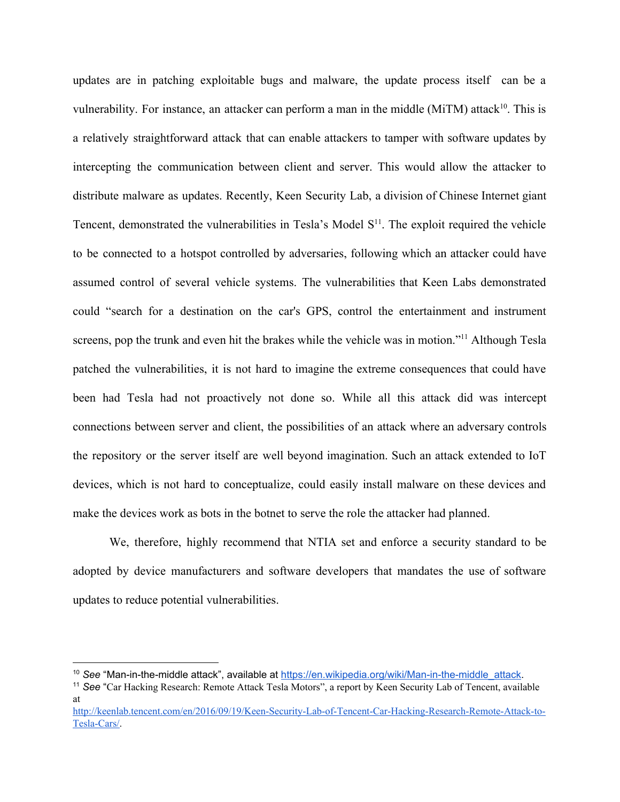updates are in patching exploitable bugs and malware, the update process itself can be a vulnerability. For instance, an attacker can perform a man in the middle ( $\text{MiTM}$ ) attack<sup>10</sup>. This is a relatively straightforward attack that can enable attackers to tamper with software updates by intercepting the communication between client and server. This would allow the attacker to distribute malware as updates. Recently, Keen Security Lab, a division of Chinese Internet giant Tencent, demonstrated the vulnerabilities in Tesla's Model  $S<sup>11</sup>$ . The exploit required the vehicle to be connected to a hotspot controlled by adversaries, following which an attacker could have assumed control of several vehicle systems. The vulnerabilities that Keen Labs demonstrated could "search for a destination on the car's GPS, control the entertainment and instrument screens, pop the trunk and even hit the brakes while the vehicle was in motion."<sup>11</sup> Although Tesla patched the vulnerabilities, it is not hard to imagine the extreme consequences that could have been had Tesla had not proactively not done so. While all this attack did was intercept connections between server and client, the possibilities of an attack where an adversary controls the repository or the server itself are well beyond imagination. Such an attack extended to IoT devices, which is not hard to conceptualize, could easily install malware on these devices and make the devices work as bots in the botnet to serve the role the attacker had planned.

We, therefore, highly recommend that NTIA set and enforce a security standard to be adopted by device manufacturers and software developers that mandates the use of software updates to reduce potential vulnerabilities.

<sup>&</sup>lt;sup>10</sup> See "Man-in-the-middle attack", available at [https://en.wikipedia.org/wiki/Man-in-the-middle\\_attack.](https://en.wikipedia.org/wiki/Man-in-the-middle_attack)

<sup>11</sup> *See* "Car Hacking Research: Remote Attack Tesla Motors", a report by Keen Security Lab of Tencent, available at

[http://keenlab.tencent.com/en/2016/09/19/Keen-Security-Lab-of-Tencent-Car-Hacking-Research-Remote-Attack-to-](http://keenlab.tencent.com/en/2016/09/19/Keen-Security-Lab-of-Tencent-Car-Hacking-Research-Remote-Attack-to-Tesla-Cars/)[Tesla-Cars/](http://keenlab.tencent.com/en/2016/09/19/Keen-Security-Lab-of-Tencent-Car-Hacking-Research-Remote-Attack-to-Tesla-Cars/).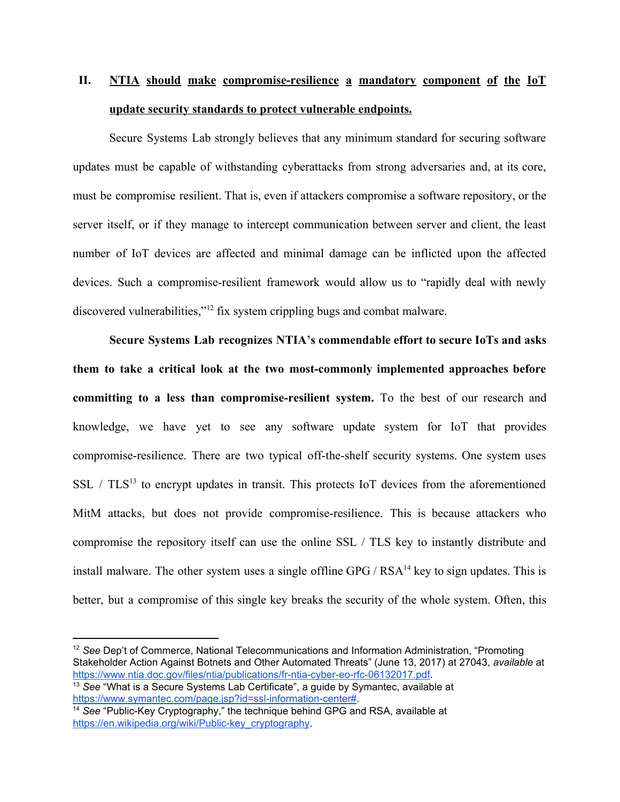## **II. NTIA should make compromise-resilience a mandatory component of the IoT update security standards to protect vulnerable endpoints.**

Secure Systems Lab strongly believes that any minimum standard for securing software updates must be capable of withstanding cyberattacks from strong adversaries and, at its core, must be compromise resilient. That is, even if attackers compromise a software repository, or the server itself, or if they manage to intercept communication between server and client, the least number of IoT devices are affected and minimal damage can be inflicted upon the affected devices. Such a compromise-resilient framework would allow us to "rapidly deal with newly discovered vulnerabilities," $12$  fix system crippling bugs and combat malware.

**Secure Systems Lab recognizes NTIA's commendable effort to secure IoTs and asks them to take a critical look at the two most-commonly implemented approaches before committing to a less than compromise-resilient system.** To the best of our research and knowledge, we have yet to see any software update system for IoT that provides compromise-resilience. There are two typical off-the-shelf security systems. One system uses SSL /  $TLS^{13}$  to encrypt updates in transit. This protects IoT devices from the aforementioned MitM attacks, but does not provide compromise-resilience. This is because attackers who compromise the repository itself can use the online SSL / TLS key to instantly distribute and install malware. The other system uses a single offline GPG /  $RSA^{14}$  key to sign updates. This is better, but a compromise of this single key breaks the security of the whole system. Often, this

<sup>12</sup> *See* Dep't of Commerce, National Telecommunications and Information Administration, "Promoting Stakeholder Action Against Botnets and Other Automated Threats" (June 13, 2017) at 27043, *available* at [https://www.ntia.doc.gov/files/ntia/publications/fr-ntia-cyber-eo-rfc-06132017.pdf.](https://www.ntia.doc.gov/files/ntia/publications/fr-ntia-cyber-eo-rfc-06132017.pdf)

<sup>13</sup> *See* "What is a Secure Systems Lab Certificate", a guide by Symantec, available at [https://www.symantec.com/page.jsp?id=ssl-information-center#](https://www.symantec.com/page.jsp?id=ssl-information-center).

<sup>14</sup> *See* "Public-Key Cryptography," the technique behind GPG and RSA, available at [https://en.wikipedia.org/wiki/Public-key\\_cryptography.](https://en.wikipedia.org/wiki/Public-key_cryptography)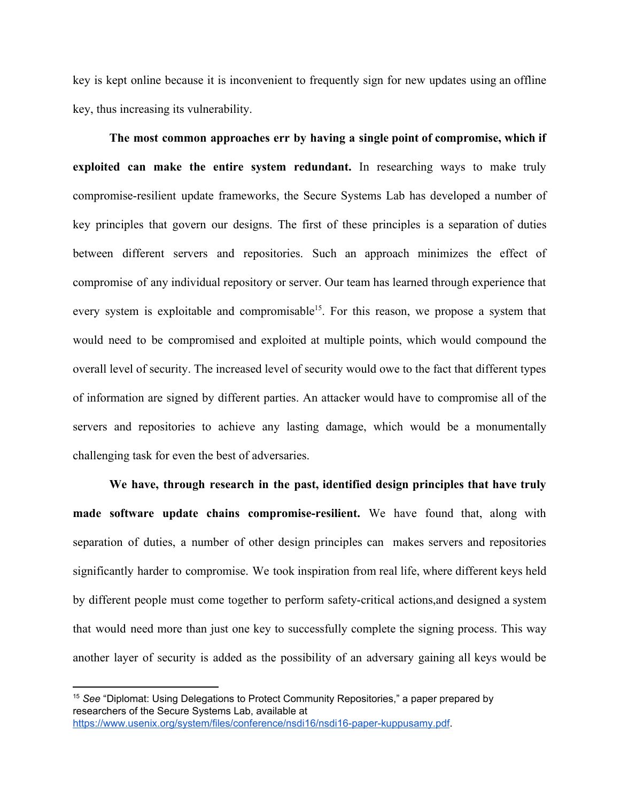key is kept online because it is inconvenient to frequently sign for new updates using an offline key, thus increasing its vulnerability.

**The most common approaches err by having a single point of compromise, which if exploited can make the entire system redundant.** In researching ways to make truly compromise-resilient update frameworks, the Secure Systems Lab has developed a number of key principles that govern our designs. The first of these principles is a separation of duties between different servers and repositories. Such an approach minimizes the effect of compromise of any individual repository or server. Our team has learned through experience that every system is exploitable and compromisable<sup>15</sup>. For this reason, we propose a system that would need to be compromised and exploited at multiple points, which would compound the overall level of security. The increased level of security would owe to the fact that different types of information are signed by different parties. An attacker would have to compromise all of the servers and repositories to achieve any lasting damage, which would be a monumentally challenging task for even the best of adversaries.

**We have, through research in the past, identified design principles that have truly made software update chains compromise-resilient.** We have found that, along with separation of duties, a number of other design principles can makes servers and repositories significantly harder to compromise. We took inspiration from real life, where different keys held by different people must come together to perform safety-critical actions,and designed a system that would need more than just one key to successfully complete the signing process. This way another layer of security is added as the possibility of an adversary gaining all keys would be

<sup>15</sup> *See* "Diplomat: Using Delegations to Protect Community Repositories," a paper prepared by researchers of the Secure Systems Lab, available at [https://www.usenix.org/system/files/conference/nsdi16/nsdi16-paper-kuppusamy.pdf.](https://www.usenix.org/system/files/conference/nsdi16/nsdi16-paper-kuppusamy.pdf)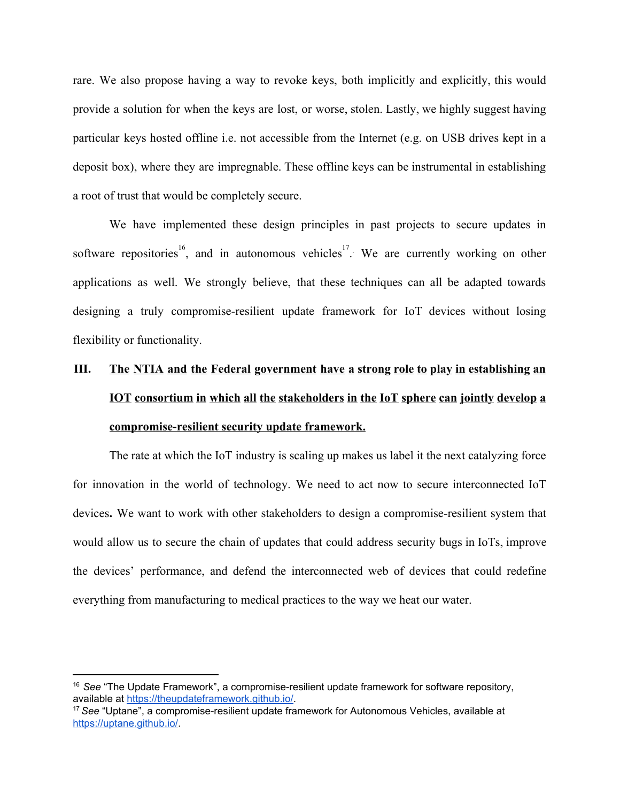rare. We also propose having a way to revoke keys, both implicitly and explicitly, this would provide a solution for when the keys are lost, or worse, stolen. Lastly, we highly suggest having particular keys hosted offline i.e. not accessible from the Internet (e.g. on USB drives kept in a deposit box), where they are impregnable. These offline keys can be instrumental in establishing a root of trust that would be completely secure.

We have implemented these design principles in past projects to secure updates in software repositories  $16$ , and in autonomous vehicles  $17$ . We are currently working on other applications as well. We strongly believe, that these techniques can all be adapted towards designing a truly compromise-resilient update framework for IoT devices without losing flexibility or functionality.

## **III. The NTIA and the Federal government have a strong role to play in establishing an IOT consortium in which all the stakeholders in the IoT sphere can jointly develop a compromise-resilient security update framework.**

The rate at which the IoT industry is scaling up makes us label it the next catalyzing force for innovation in the world of technology. We need to act now to secure interconnected IoT devices**.** We want to work with other stakeholders to design a compromise-resilient system that would allow us to secure the chain of updates that could address security bugs in IoTs, improve the devices' performance, and defend the interconnected web of devices that could redefine everything from manufacturing to medical practices to the way we heat our water.

<sup>16</sup> *See* "The Update Framework", a compromise-resilient update framework for software repository, available at [https://theupdateframework.github.io/.](https://theupdateframework.github.io/)

<sup>17</sup> *See* "Uptane", a compromise-resilient update framework for Autonomous Vehicles, available at [https://uptane.github.io/.](https://uptane.github.io/)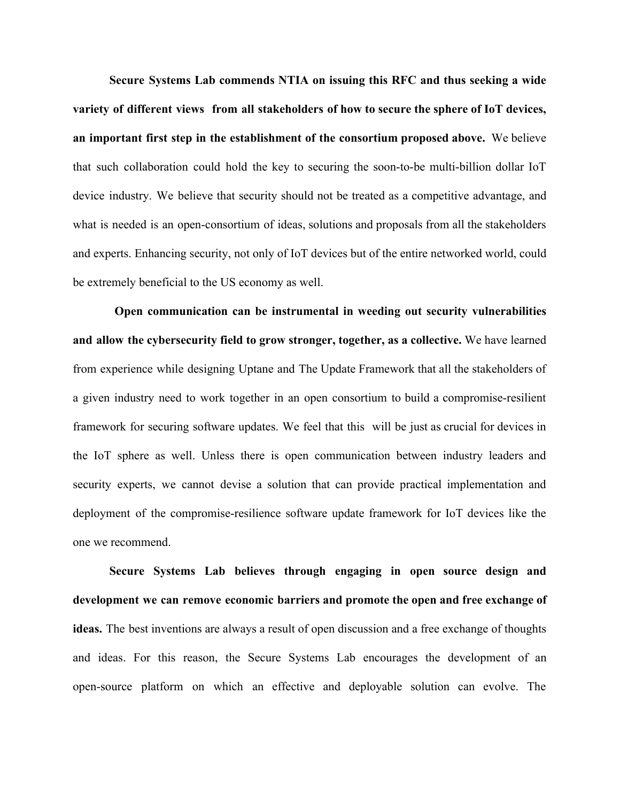**Secure Systems Lab commends NTIA on issuing this RFC and thus seeking a wide variety of different views from all stakeholders of how to secure the sphere of IoT devices, an important first step in the establishment of the consortium proposed above.** We believe that such collaboration could hold the key to securing the soon-to-be multi-billion dollar IoT device industry. We believe that security should not be treated as a competitive advantage, and what is needed is an open-consortium of ideas, solutions and proposals from all the stakeholders and experts. Enhancing security, not only of IoT devices but of the entire networked world, could be extremely beneficial to the US economy as well.

**Open communication can be instrumental in weeding out security vulnerabilities and allow the cybersecurity field to grow stronger, together, as a collective.** We have learned from experience while designing Uptane and The Update Framework that all the stakeholders of a given industry need to work together in an open consortium to build a compromise-resilient framework for securing software updates. We feel that this will be just as crucial for devices in the IoT sphere as well. Unless there is open communication between industry leaders and security experts, we cannot devise a solution that can provide practical implementation and deployment of the compromise-resilience software update framework for IoT devices like the one we recommend.

**Secure Systems Lab believes through engaging in open source design and development we can remove economic barriers and promote the open and free exchange of ideas.** The best inventions are always a result of open discussion and a free exchange of thoughts and ideas. For this reason, the Secure Systems Lab encourages the development of an open-source platform on which an effective and deployable solution can evolve. The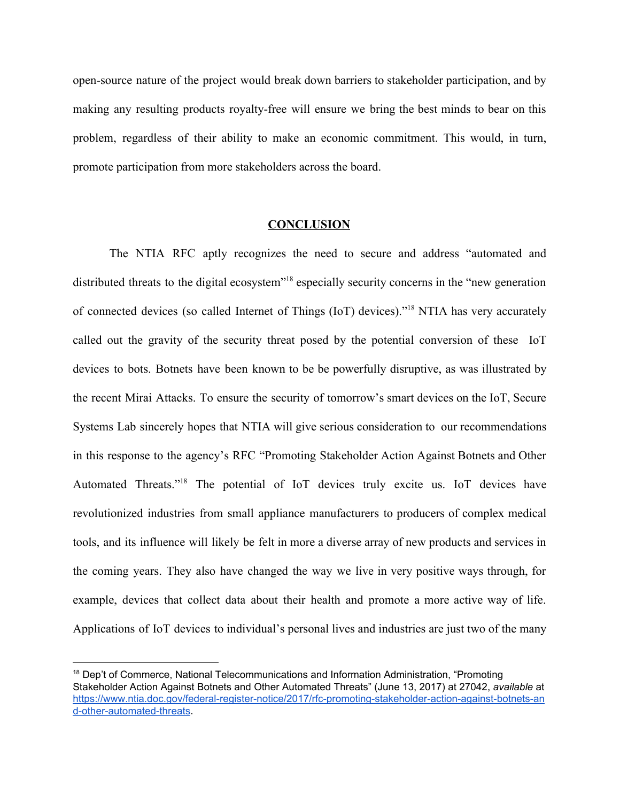open-source nature of the project would break down barriers to stakeholder participation, and by making any resulting products royalty-free will ensure we bring the best minds to bear on this problem, regardless of their ability to make an economic commitment. This would, in turn, promote participation from more stakeholders across the board.

#### **CONCLUSION**

The NTIA RFC aptly recognizes the need to secure and address "automated and distributed threats to the digital ecosystem"<sup>18</sup> especially security concerns in the "new generation" of connected devices (so called Internet of Things (IoT) devices)."<sup>18</sup> NTIA has very accurately called out the gravity of the security threat posed by the potential conversion of these IoT devices to bots. Botnets have been known to be be powerfully disruptive, as was illustrated by the recent Mirai Attacks. To ensure the security of tomorrow's smart devices on the IoT, Secure Systems Lab sincerely hopes that NTIA will give serious consideration to our recommendations in this response to the agency's RFC "Promoting Stakeholder Action Against Botnets and Other Automated Threats."<sup>18</sup> The potential of IoT devices truly excite us. IoT devices have revolutionized industries from small appliance manufacturers to producers of complex medical tools, and its influence will likely be felt in more a diverse array of new products and services in the coming years. They also have changed the way we live in very positive ways through, for example, devices that collect data about their health and promote a more active way of life. Applications of IoT devices to individual's personal lives and industries are just two of the many

<sup>&</sup>lt;sup>18</sup> Dep't of Commerce, National Telecommunications and Information Administration, "Promoting Stakeholder Action Against Botnets and Other Automated Threats" (June 13, 2017) at 27042, *available* at [https://www.ntia.doc.gov/federal-register-notice/2017/rfc-promoting-stakeholder-action-against-botnets-an](https://www.ntia.doc.gov/federal-register-notice/2017/rfc-promoting-stakeholder-action-against-botnets-and-other-automated-threats) [d-other-automated-threats](https://www.ntia.doc.gov/federal-register-notice/2017/rfc-promoting-stakeholder-action-against-botnets-and-other-automated-threats).